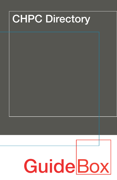## **CHPC Directory**

# **GuideBox**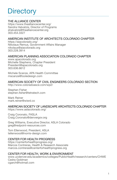## **Directory**

#### THE ALLIANCE CENTER

<https://www.thealliancecenter.org/> Sandra Halvatzis, Director of Programs shalvatzis@thealliancecenter.org 303.454.3327

#### AMERICAN INSTITUTE OF ARCHITECTS COLORADO CHAPTER

<https://aiacolorado.org/> Nikolaus Remus, Government Affairs Manager nikolaus@aiacolorado.org 303.228.3914

#### AMERICAN PLANNING ASSOCIATION COLORADO CHAPTER

<www.apacolorado.org> Michelle Stephens, Chapter President President@apacolorado.org 303.636.6612

Michele Scanze, APA Health Committee mscanze@tooledesign.com

#### AMERICAN SOCIETY OF CIVIL ENGINEERS COLORADO SECTION

<http://www.coloradoasce.com/wp2/>

Stephen Fisher stephen.fisher@tetratech.com

Mark Reiner mark.reiner@wisrd.co

#### AMERICAN SOCIETY OF LANDSCAPE ARCHITECTS COLORADO CHAPTER

<https://www.aslacolorado.org/>

Craig Coronato, FASLA Craig.Coronato@denvergov.org

Greg Williams, Executive Director, ASLA Colorado greg@redpoint-resources.com

Tom Ellenwood, President, ASLA tellenwood@norris-design.com

#### CENTER FOR HEALTH PROGRESS

<https://centerforhealthprogress.org/> Marcos Contreras, Health & Research Associate marcos.contreras@centerforhealthprogress.org

#### CENTER FOR HEALTH, WORK & ENVIRONMENT

<www.ucdenver.edu/academics/colleges/PublicHealth/research/centers/CHWE> Cedra Goldman cgarch@hotmail.com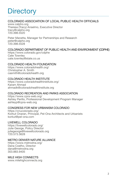## **Directory**

#### COLORADO ASSOCIATION OF LOCAL PUBLIC HEALTH OFFICIALS

<www.calpho.org> Theresa (Tracy) Anselmo, Executive Director tracy@calpho.org 720.398.5520

Peter Manetta, Manager for Partnerships and Research peter@calpho.org 720.398.5528

#### COLORADO DEPARTMENT OF PUBLIC HEALTH AND ENVIRONMENT (CDPHE)

<https://www.colorado.gov/cdphe> Cate Townley cate.townley@state.co.us

#### COLORADO HEALTH FOUNDATION

<https://www.coloradohealth.org/> Christopher A. Smith casmith@coloradohealth.org

#### COLORADO HEALTH INSTITUTE

<https://www.coloradohealthinstitute.org/> Karam Ahmad ahmadk@coloradohealthinstitute.org

#### COLORADO RECREATION AND PARKS ASSOCIATION

<https://www.cpra-web.org/> Ashley Perillo, Professional Development Program Manager ashleyp@cpra-web.org

#### CONGRESS FOR NEW URBANISM COLORADO

<https://cnucolorado.org/> Korkut Onaran, Principal, Pel-Ona Architects and Urbanists korkut@pel-ona.com

#### LIVEWELL COLORADO

<https://livewellcolorado.org/> Julie George, Policy Director juliegeorge@livewellcolorado.org 720.573.3628

#### METRO DENVER NATURE ALLIANCE

<https://www.metrodna.org/> Dana Coelho, Director dana@metrodna.org 303.883.9405

#### MILE HIGH CONNECTS

<www.milehighconnects.org>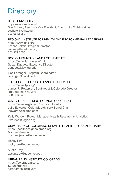## **Directory**

#### REGIS UNIVERSITY

<https://www.regis.edu/> Sue Scherer, Associate Vice President, Community Collaboration sscherer@regis.edu 303.964.5252

#### REGIONAL INSTITUTE FOR HEALTH AND ENVIRONMENTAL LEADERSHIP

<https://www.rihel.org/> Leanne Jeffers, Program Director leanne.jeffers@rihel.org 303.871.3550

#### ROCKY MOUNTAIN LAND USE INSTITUTE

<https://www.law.du.edu/rmlui> Susan Daggett, Executive Director sdaggett@law.du.edu

Lisa Loranger, Program Coordinator lloranger@law.du.edu

#### THE TRUST FOR PUBLIC LAND | COLORADO

<https://www.tpl.org/> James R. Petterson, Southwest & Colorado Director jim.petterson@tpl.org 303.863.8485

#### U.S. GREEN BUILDING COUNCIL COLORADO

<https://www.usgbc.org/usgbc-colorado> Julie Edwards, Colorado Advisory Board Chair jedwards@ozarch.com

Kelly Worden, Project Manager, Health Research & Analytics kworden@usgbc.org

#### UNIVERSITY OF COLORADO DENVER | HEALTH + DESIGN INITIATIVE

<https://healthdesigncolorado.org/> Michael Jenson michael.jenson@ucdenver.edu

Rocky Piro rocky.piro@ucdenver.edu

Austin Troy austin.troy@ucdenver.edu

#### URBAN LAND INSTITUTE COLORADO

<https://colorado.uli.org/> Sarah Franklin sarah.franklin@uli.org